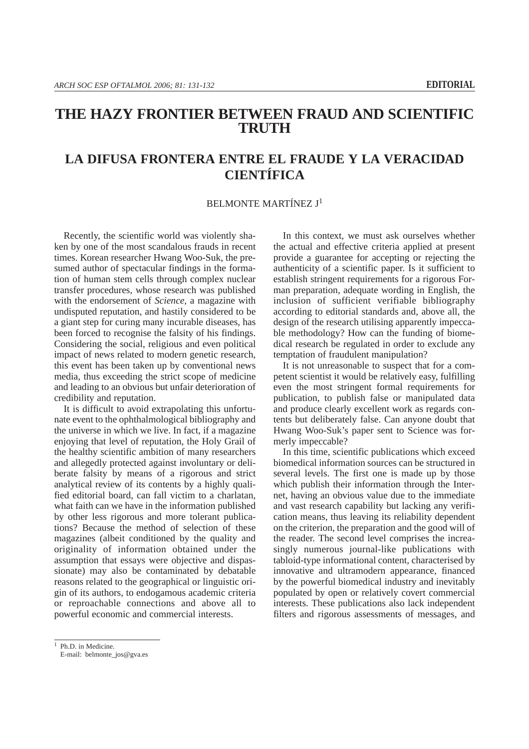## **THE HAZY FRONTIER BETWEEN FRAUD AND SCIENTIFIC TRUTH**

## **LA DIFUSA FRONTERA ENTRE EL FRAUDE Y LA VERACIDAD CIENTÍFICA**

## BELMONTE MARTÍNEZ J1

Recently, the scientific world was violently shaken by one of the most scandalous frauds in recent times. Korean researcher Hwang Woo-Suk, the presumed author of spectacular findings in the formation of human stem cells through complex nuclear transfer procedures, whose research was published with the endorsement of *Science,* a magazine with undisputed reputation, and hastily considered to be a giant step for curing many incurable diseases, has been forced to recognise the falsity of his findings. Considering the social, religious and even political impact of news related to modern genetic research, this event has been taken up by conventional news media, thus exceeding the strict scope of medicine and leading to an obvious but unfair deterioration of credibility and reputation.

It is difficult to avoid extrapolating this unfortunate event to the ophthalmological bibliography and the universe in which we live. In fact, if a magazine enjoying that level of reputation, the Holy Grail of the healthy scientific ambition of many researchers and allegedly protected against involuntary or deliberate falsity by means of a rigorous and strict analytical review of its contents by a highly qualified editorial board, can fall victim to a charlatan, what faith can we have in the information published by other less rigorous and more tolerant publications? Because the method of selection of these magazines (albeit conditioned by the quality and originality of information obtained under the assumption that essays were objective and dispassionate) may also be contaminated by debatable reasons related to the geographical or linguistic origin of its authors, to endogamous academic criteria or reproachable connections and above all to powerful economic and commercial interests.

In this context, we must ask ourselves whether the actual and effective criteria applied at present provide a guarantee for accepting or rejecting the authenticity of a scientific paper. Is it sufficient to establish stringent requirements for a rigorous Forman preparation, adequate wording in English, the inclusion of sufficient verifiable bibliography according to editorial standards and, above all, the design of the research utilising apparently impeccable methodology? How can the funding of biomedical research be regulated in order to exclude any temptation of fraudulent manipulation?

It is not unreasonable to suspect that for a competent scientist it would be relatively easy, fulfilling even the most stringent formal requirements for publication, to publish false or manipulated data and produce clearly excellent work as regards contents but deliberately false. Can anyone doubt that Hwang Woo-Suk's paper sent to Science was formerly impeccable?

In this time, scientific publications which exceed biomedical information sources can be structured in several levels. The first one is made up by those which publish their information through the Internet, having an obvious value due to the immediate and vast research capability but lacking any verification means, thus leaving its reliability dependent on the criterion, the preparation and the good will of the reader. The second level comprises the increasingly numerous journal-like publications with tabloid-type informational content, characterised by innovative and ultramodern appearance, financed by the powerful biomedical industry and inevitably populated by open or relatively covert commercial interests. These publications also lack independent filters and rigorous assessments of messages, and

<sup>1</sup> Ph.D. in Medicine.

E-mail: belmonte\_jos@gva.es